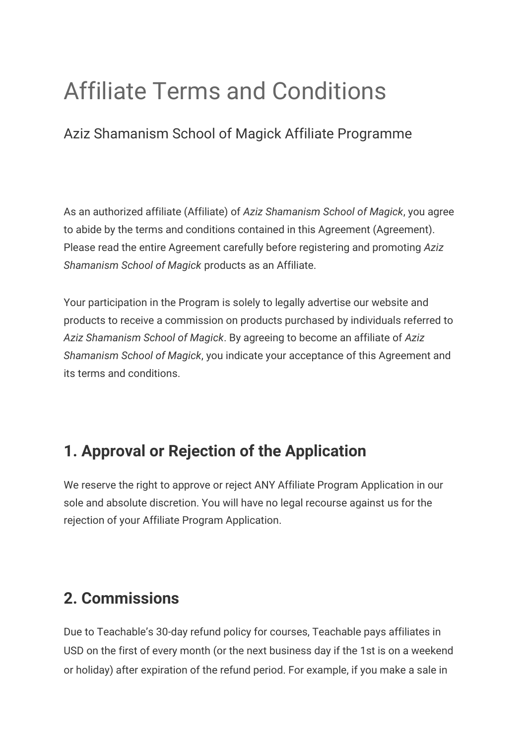# Affiliate Terms and Conditions

Aziz Shamanism School of Magick Affiliate Programme

As an authorized affiliate (Affiliate) of *Aziz Shamanism School of Magick*, you agree to abide by the terms and conditions contained in this Agreement (Agreement). Please read the entire Agreement carefully before registering and promoting *Aziz Shamanism School of Magick* products as an Affiliate.

Your participation in the Program is solely to legally advertise our website and products to receive a commission on products purchased by individuals referred to *Aziz Shamanism School of Magick*. By agreeing to become an affiliate of *Aziz Shamanism School of Magick*, you indicate your acceptance of this Agreement and its terms and conditions.

#### **1. Approval or Rejection of the Application**

We reserve the right to approve or reject ANY Affiliate Program Application in our sole and absolute discretion. You will have no legal recourse against us for the rejection of your Affiliate Program Application.

#### **2. Commissions**

Due to Teachable's 30-day refund policy for courses, Teachable pays affiliates in USD on the first of every month (or the next business day if the 1st is on a weekend or holiday) after expiration of the refund period. For example, if you make a sale in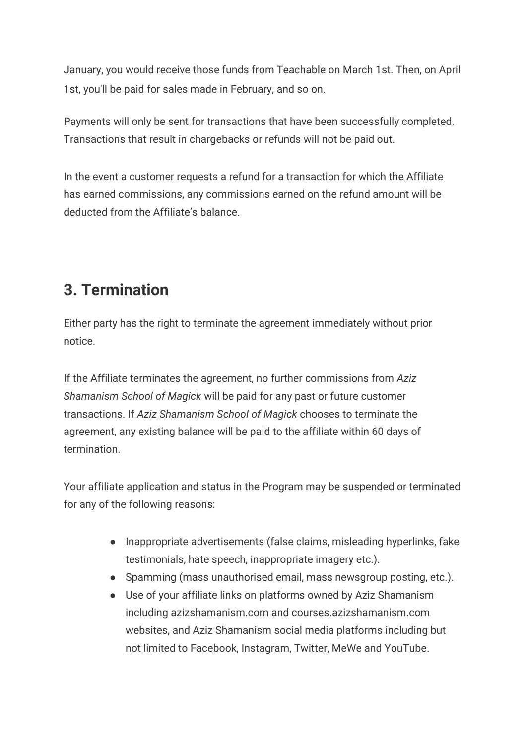January, you would receive those funds from Teachable on March 1st. Then, on April 1st, you'll be paid for sales made in February, and so on.

Payments will only be sent for transactions that have been successfully completed. Transactions that result in chargebacks or refunds will not be paid out.

In the event a customer requests a refund for a transaction for which the Affiliate has earned commissions, any commissions earned on the refund amount will be deducted from the Affiliate's balance.

## **3. Termination**

Either party has the right to terminate the agreement immediately without prior notice.

If the Affiliate terminates the agreement, no further commissions from *Aziz Shamanism School of Magick* will be paid for any past or future customer transactions. If *Aziz Shamanism School of Magick* chooses to terminate the agreement, any existing balance will be paid to the affiliate within 60 days of termination.

Your affiliate application and status in the Program may be suspended or terminated for any of the following reasons:

- Inappropriate advertisements (false claims, misleading hyperlinks, fake testimonials, hate speech, inappropriate imagery etc.).
- Spamming (mass unauthorised email, mass newsgroup posting, etc.).
- Use of your affiliate links on platforms owned by Aziz Shamanism including azizshamanism.com and courses.azizshamanism.com websites, and Aziz Shamanism social media platforms including but not limited to Facebook, Instagram, Twitter, MeWe and YouTube.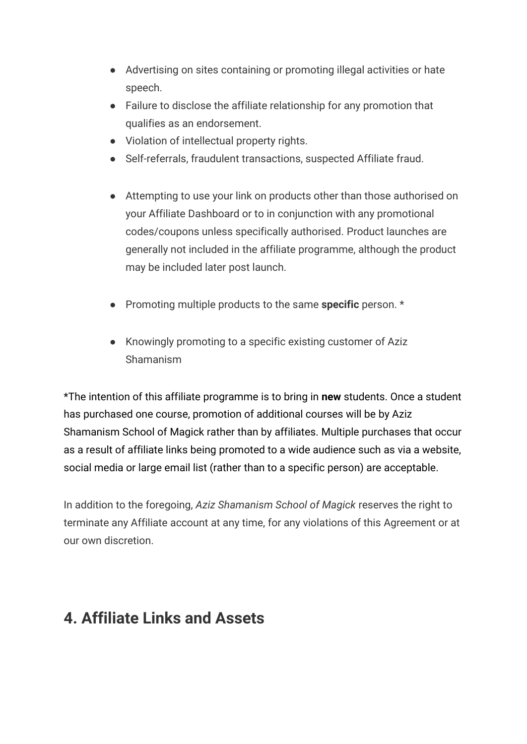- Advertising on sites containing or promoting illegal activities or hate speech.
- Failure to disclose the affiliate relationship for any promotion that qualifies as an endorsement.
- Violation of intellectual property rights.
- Self-referrals, fraudulent transactions, suspected Affiliate fraud.
- Attempting to use your link on products other than those authorised on your Affiliate Dashboard or to in conjunction with any promotional codes/coupons unless specifically authorised. Product launches are generally not included in the affiliate programme, although the product may be included later post launch.
- Promoting multiple products to the same **specific** person. \*
- Knowingly promoting to a specific existing customer of Aziz Shamanism

\*The intention of this affiliate programme is to bring in **new** students. Once a student has purchased one course, promotion of additional courses will be by Aziz Shamanism School of Magick rather than by affiliates. Multiple purchases that occur as a result of affiliate links being promoted to a wide audience such as via a website, social media or large email list (rather than to a specific person) are acceptable.

In addition to the foregoing, *Aziz Shamanism School of Magick* reserves the right to terminate any Affiliate account at any time, for any violations of this Agreement or at our own discretion.

## **4. Affiliate Links and Assets**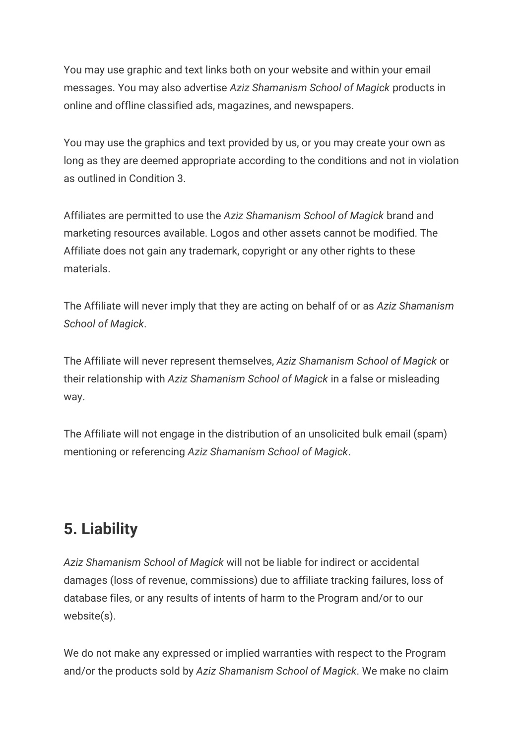You may use graphic and text links both on your website and within your email messages. You may also advertise *Aziz Shamanism School of Magick* products in online and offline classified ads, magazines, and newspapers.

You may use the graphics and text provided by us, or you may create your own as long as they are deemed appropriate according to the conditions and not in violation as outlined in Condition 3.

Affiliates are permitted to use the *Aziz Shamanism School of Magick* brand and marketing resources available. Logos and other assets cannot be modified. The Affiliate does not gain any trademark, copyright or any other rights to these materials.

The Affiliate will never imply that they are acting on behalf of or as *Aziz Shamanism School of Magick*.

The Affiliate will never represent themselves, *Aziz Shamanism School of Magick* or their relationship with *Aziz Shamanism School of Magick* in a false or misleading way.

The Affiliate will not engage in the distribution of an unsolicited bulk email (spam) mentioning or referencing *Aziz Shamanism School of Magick*.

## **5. Liability**

*Aziz Shamanism School of Magick* will not be liable for indirect or accidental damages (loss of revenue, commissions) due to affiliate tracking failures, loss of database files, or any results of intents of harm to the Program and/or to our website(s).

We do not make any expressed or implied warranties with respect to the Program and/or the products sold by *Aziz Shamanism School of Magick*. We make no claim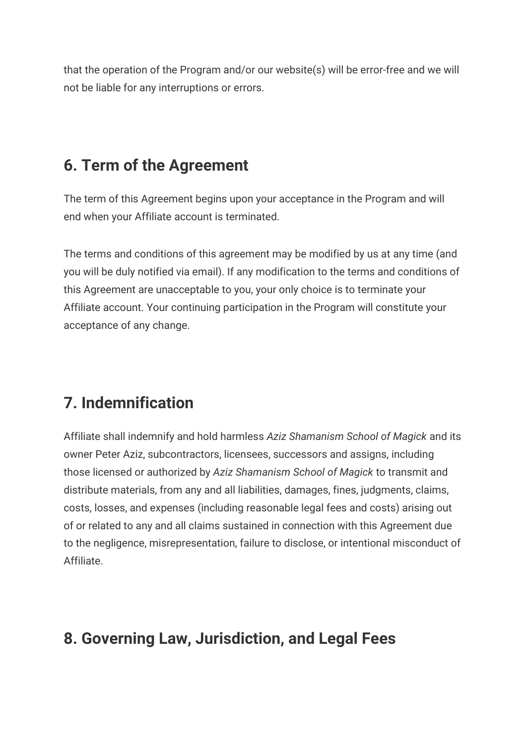that the operation of the Program and/or our website(s) will be error-free and we will not be liable for any interruptions or errors.

## **6. Term of the Agreement**

The term of this Agreement begins upon your acceptance in the Program and will end when your Affiliate account is terminated.

The terms and conditions of this agreement may be modified by us at any time (and you will be duly notified via email). If any modification to the terms and conditions of this Agreement are unacceptable to you, your only choice is to terminate your Affiliate account. Your continuing participation in the Program will constitute your acceptance of any change.

## **7. Indemnification**

Affiliate shall indemnify and hold harmless *Aziz Shamanism School of Magick* and its owner Peter Aziz, subcontractors, licensees, successors and assigns, including those licensed or authorized by *Aziz Shamanism School of Magick* to transmit and distribute materials, from any and all liabilities, damages, fines, judgments, claims, costs, losses, and expenses (including reasonable legal fees and costs) arising out of or related to any and all claims sustained in connection with this Agreement due to the negligence, misrepresentation, failure to disclose, or intentional misconduct of Affiliate.

## **8. Governing Law, Jurisdiction, and Legal Fees**